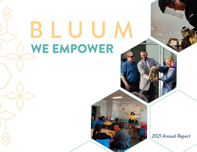# BLUUM WE EMPOWER

*2021 Annual Report*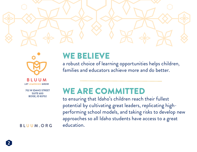



UUM **LET LEARNING GROW** 

702 W IDAHO STREET SUITE 600 BOISE, ID 83702

BLUUM.ORG

### WE BELIEVE

a robust choice of learning opportunities helps children, families and educators achieve more and do better.

### WE ARE COMMITTED

to ensuring that Idaho's children reach their fullest potential by cultivating great leaders, replicating highperforming school models, and taking risks to develop new approaches so all Idaho students have access to a great education.

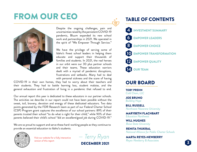### FROM OUR CEO **TABLE OF CONTENTS**



Despite the ongoing challenges, pain and uncertainties raised by the persistent COVID-19 pandemic, Bluum expanded its new school work and partnerships in 2021. We operated in the spirit of "We Empower Through Service."

We have the privilege of serving some of Idaho's finest school leaders in helping them educate and support their thousands of families and students. In 2021, the real heroes in our orbit were our 30 plus partner schools and their teams. These education warriors dealt with a myriad of pandemic disruptions, frustrations and setbacks. Many had to deal with personal sickness and the scare of having

COVID-19 in their own homes, they had to worry about their teachers and their students. They had to battle learning loss, student malaise, and the general exhaustion and frustration of living in a pandemic that refused to end.

Our annual report this year is dedicated to these educators in our partner schools. The activities we describe in our report could not have been possible without the sweat, toil, bravery, devotion and energy of these dedicated educators. Two data points generated by the FDR Research team as part of our Federal Charter School (CSP) Program grant captures the excellence of our school partners: 89% of their parents trusted their school "to do what is right for their child," while 90% of their parents believed their child's school "did an excellent/good job during COVID-19."

We are so proud to support and serve these hard-working people as they continue to provide an essential education to Idaho's students.



Visit our website for a fully interactive version of this report

*— Terry Ryan* DECEMBER 2021



#### OUR BOARD

TOBY PREHN *Cold Chain, LLC*

JOE BRUNO *Building Hope*

BILL RUSSELL *Northwest Nazarene University*

MARYBETH FLACHBART *Education Northwest*

WILL HUGHES *Boise State University*

RENITA THUKRAL *National Alliance for Public Charter Schools*

**3**

MARTA REYES-NEWBERRY *Reyes-Newberry & Associates*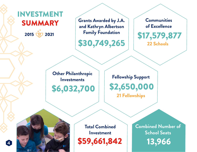### INVESTMENT SUMMARY

2015 2021

**Grants Awarded by J.A. and Kathryn Albertson Family Foundation**

\$30,749,265

**Communities of Excellence**

\$17,579,877 22 Schools

**Other Philanthropic Investments** 

**Fellowship Support**

\$6,032,700 \$2,650,000

21 Fellowships



**Total Combined Investment** \$59,661,842 **Combined Number of School Seats** 13,966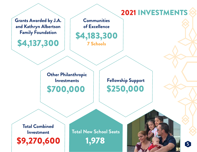### 2021 INVESTMENTS

**Grants Awarded by J.A. and Kathryn Albertson** 

\$4,137,300

**Communities of Excellence**

Family Foundation | **\$4,183,300** 7 Schools

> \$700,000 **Other Philanthropic Investments**

\$250,000 **Fellowship Support**

**Total Combined Investment**

\$9,270,600

1,978 **Total New School Seats**

**5**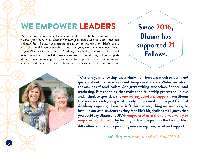### WE EMPOWER LEADERS

We empower educational leaders in the Gem State by providing a oneto two-year Idaho New School Fellowship to those who take risks and put children first. Bluum has recruited top talent to the ranks of Idaho's public charter school leadership cohort, and this year, we added two new faces. Logan Waetje will lead Elevate Academy East Idaho, and Adam Bruno will open Gem Prep: Twin Falls. We are excited to see all they will accomplish during their fellowship as they work to improve student achievement and expand school choice options for families in their communities.

**Since 2016, Bluum has supported 21 Fellows.**



"Our one year fellowship was a whirlwind. There was much to learn, and quickly, about charter schools and the approval process. We learned about the makings of good leaders. And grant writing. And school finance. And marketing. But the thing that makes the fellowship process so unique and, I think so special, is the unwavering belief and support from Bluum that you can reach your goal. And only now, several months past Cardinal Academy's opening, I realize: isn't this the very thing we are trying to instill in our own students as they face life's big challenges? I guess that you could say Bluum and JKAF empowered us in the very way we try to empower our students: by helping us learn to pivot in the face of life's difficulties, all the while providing unwavering care, belief and support."

*— Emily Bergstrom, Idaho New School Fellow, 2020-21*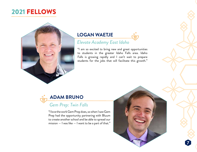### 2021 FELLOWS



#### **LOGAN WAETJE**

#### *Elevate Academy East Idaho*

"I am so excited to bring new and great opportunities to students in the greater Idaho Falls area. Idaho Falls is growing rapidly and I can't wait to prepare students for the jobs that will facilitate this growth."



#### *Gem Prep: Twin Falls*

"I love the work Gem Prep does, so when I saw Gem Prep had the opportunity partnering with Bluum to create another school and be able to spread our mission  $-$  I was like  $-$  I want to be a part of that."



**7**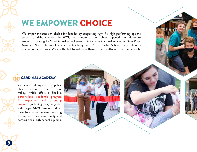### WE EMPOWER CHOICE

We empower education choice for families by supporting right-fit, high-performing options across 10 Idaho counties. In 2021, four Bluum partner schools opened their doors to students, creating 1,978 additional school seats. This includes Cardinal Academy, Gem Prep: Meridian North, Alturas Preparatory Academy, and RISE Charter School. Each school is unique in its own way. We are thrilled to welcome them to our portfolio of partner schools.

#### CARDINAL ACADEMY

Cardinal Academy is a free, public charter school in the Treasure Valley, which offers a flexible, personalized academic program for expectant and parenting students (including dads) in grades 9-12, ages 14-21. Students don't have to choose between working to support their new family and earning their high school diploma.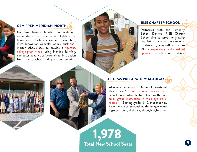#### GEM PREP: MERIDIAN NORTH

Gem Prep: Meridian North is the fourth brick and mortar school to open as part of Idaho's first home-grown charter management organization, Gem Innovation Schools. Gem's brick-andmortar schools seek to provide a rigorous, college-prep model using blended learning, computer-adaptive software, direct instruction from the teacher, and peer collaboration.

#### RISE CHARTER SCHOOL

Partnering with the Kimberly School District, RISE Charter School aims to serve the growing population of students in Kimberly. Students in grades 4-8 can choose RISE's exploratory, individualized approach to educating students.

#### ALTURAS PREPARATORY ACADEMY

APA is an extension of Alturas International Academy's K-5 International Baccalaureate school model, which features learning through small group instruction in multi-age classrooms. Serving grades 6-12, students now have the choice to continue this unique learning opportunity all the way through high school.

1,978 **Total New School Seats**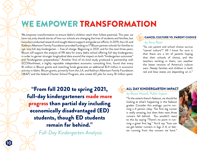### WE EMPOWER TRANSFORMATION

We empower transformation to ensure Idaho's children reach their fullest potential. This year, we have not only shared stories of how our schools are changing the lives of students and families, but have also conducted research and sought data to support and guide our efforts. In 2019, the J.A. and Kathryn Albertson Family Foundation provided funding to 17 Bluum partner schools for families to opt-into full-day kindergarten — free of charge. Beginning in 2021, and for the next three years, Bluum will support the analysis of IRI data for every Idaho school offering full-day kindergarten, in order to garner stronger longitudinal data around the impact on both "kindergarten outcomes" and "kindergarten preparedness." Another first-of-its-kind study produced in partnership with ECONorthwest, a highly reputable independent economic consulting firm, found that every \$1 million in Bluum grants and matching funds generates an additional \$1.9 million in economic activity in Idaho. Bluum grants, primarily from the J.A. and Kathryn Albertson Family Foundation (JKAF) and the federal Charter School Program, also create 60 jobs for every \$1 million spent.

#### CANCEL CULTURE VS. PARENT CHOICE *by Terry Ryan*

"So can parent and school choice survive "cancel culture"? All I know for sure is that there are a lot of parents hoping that their schools of choice, and the teachers working in them, can weather the latest versions of America's culture wars. Needy families and children in both red and blue states are depending on it."

"From fall 2020 to spring 2021, full-day kindergarteners made more progress than partial day including economically disadvantaged (ED) students, though ED students remain far behind."

*— Full-Day Kindergarten Analysis*

#### ALL DAY KINDERGARTEN IMPACT

#### *by Bryan Hassell, Public Impact*

"To the extent there's fadeout, we should be looking at what's happening in the fadeout grades. Consider this analogy: you're running a 4 person relay. The first leg runner is really amazing, but then then next three runners fall behind. You wouldn't react to this by saying "There's no point in running a great first leg." You'd say "how can we get better runners in legs 2-4, or better running from the runners we have."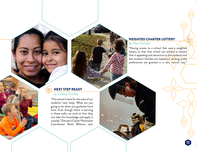#### WEIGHTED CHARTER LOTTERY

#### *by Alan Gottlieb*

"Having access to a school that uses a weighted lottery so that that school can achieve a mission that is appealing and attractive to the students and the students' families are important, as long as the preferences are granted in a very narrow way."

**11**

#### NEXT STEP READY

#### *by Lindsay Trombly*

"This school is here for the sake of our students' next steps. What are you going to do when you graduate from here. Even though there is learning in these walls, we work at how they can take this knowledge and apply it outside," Elevate's Career Placement Coordinator Brett Williams said.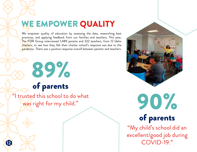### WE EMPOWER QUALITY

We empower quality of education by assessing the data, researching best practices, and applying feedback from our families and teachers. This year, The FDR Group interviewed 1,489 parents and 322 teachers, from 12 Idaho charters, to see how they felt their charter school's response was due to the pandemic. There was a positive response overall between parents and teachers.

## 89% of parents

"I trusted this school to do what was right for my child."

**12**



90% of parents

"My child's school did an excellent/good job during COVID-19."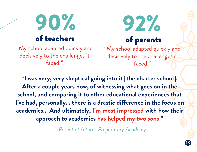

92% of parents "My school adapted quickly and decisively to the challenges it

faced."

"My school adapted quickly and decisively to the challenges it faced."

**"I was very, very skeptical going into it [the charter school]. After a couple years now, of witnessing what goes on in the school, and comparing it to other educational experiences that I've had, personally... there is a drastic difference in the focus on academics... And ultimately, I'm most impressed with how their approach to academics has helped my two sons."** 

*–Parent at Alturas Preparatory Academy*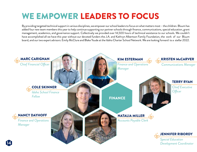### WE EMPOWER LEADERS TO FOCUS

By providing targeted technical support in various disciplines, we empower our school leaders to focus on what matters most – the children. Bluum has added four new team members this year to help continue supporting our partner schools through finance, communications, special education, grant management, academics, and governance support. Collectively we provided over 14,500 hours of technical assistance to our schools. We couldn't have accomplished all we have this year without our devoted funders the J.A. and Kathryn Albertson Family Foundation, the work of our Bluum board, and our two expert advisors: Emily McClure and Blake Youde at the Idaho Charter School Network. We are looking forward to a stellar 2022.

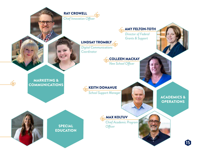



*Director of Federal Grants & Support*

#### LINDSAY TROMBLY

*Digital Communications Coordinator*

> COLLEEN MACKAY *New School Officer*

MARKETING & COMMUNICATIONS

्<br>पश्च

KEITH DONAHUE

*School Support Manager* 

SPECIAL EDUCATION MAX KOLTUV

*Chief Academic Program Officer*

#### ACADEMICS & **OPERATIONS**

**15**